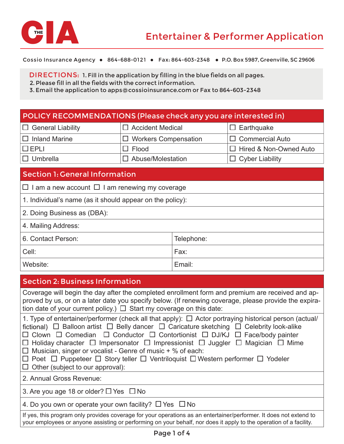

Cossio Insurance Agency • 864-688-0121 • Fax: 864-603-2348 • P.O. Box 5987, Greenville, SC 29606

DIRECTIONS: DIRECTIONS: 1. Fill in the application by filling in the blue fields on all pages.

2. Please fill in all the fields with the correct information.

2. Please fill in all the fields with the correct information.<br>3. Email the application to apps@cossioinsurance.com or Fax to 864-603-2348

| POLICY RECOMMENDATIONS (Please check any you are interested in) |                             |            |                               |  |  |
|-----------------------------------------------------------------|-----------------------------|------------|-------------------------------|--|--|
| <b>General Liability</b><br>ш                                   | $\Box$ Accident Medical     |            | $\Box$ Earthquake             |  |  |
| <b>Inland Marine</b>                                            | <b>Workers Compensation</b> |            | <b>Commercial Auto</b>        |  |  |
| $\Box$ EPLI                                                     | Flood                       |            | $\Box$ Hired & Non-Owned Auto |  |  |
| Umbrella                                                        | Abuse/Molestation           |            | $\Box$ Cyber Liability        |  |  |
| <b>Section 1: General Information</b>                           |                             |            |                               |  |  |
| I am a new account $\Box$ I am renewing my coverage<br>Ш        |                             |            |                               |  |  |
| 1. Individual's name (as it should appear on the policy):       |                             |            |                               |  |  |
| 2. Doing Business as (DBA):                                     |                             |            |                               |  |  |
| 4. Mailing Address:                                             |                             |            |                               |  |  |
| 6. Contact Person:                                              |                             | Telephone: |                               |  |  |
| Cell:                                                           |                             | Fax:       |                               |  |  |

Website: Note also a set of the set of the set of the set of the set of the set of the set of the set of the set of the set of the set of the set of the set of the set of the set of the set of the set of the set of the set

## Section 2: Business Information

| Coverage will begin the day after the completed enrollment form and premium are received and ap-<br>proved by us, or on a later date you specify below. (If renewing coverage, please provide the expira-<br>tion date of your current policy.) $\Box$ Start my coverage on this date:                                                                                                                                                                                                                                                                                                                                                                                                   |  |  |
|------------------------------------------------------------------------------------------------------------------------------------------------------------------------------------------------------------------------------------------------------------------------------------------------------------------------------------------------------------------------------------------------------------------------------------------------------------------------------------------------------------------------------------------------------------------------------------------------------------------------------------------------------------------------------------------|--|--|
| 1. Type of entertainer/performer (check all that apply): $\Box$ Actor portraying historical person (actual/<br>fictional) $\Box$ Balloon artist $\Box$ Belly dancer $\Box$ Caricature sketching $\Box$ Celebrity look-alike<br>$\Box$ Clown $\Box$ Comedian $\Box$ Conductor $\Box$ Contortionist $\Box$ DJ/KJ $\Box$ Face/body painter<br>$\Box$ Holiday character $\Box$ Impersonator $\Box$ Impressionist $\Box$ Juggler $\Box$ Magician $\Box$ Mime<br>$\Box$ Musician, singer or vocalist - Genre of music + % of each:<br>$\Box$ Poet $\Box$ Puppeteer $\Box$ Story teller $\Box$ Ventriloquist $\Box$ Western performer $\Box$ Yodeler<br>$\Box$ Other (subject to our approval): |  |  |
| 2. Annual Gross Revenue:                                                                                                                                                                                                                                                                                                                                                                                                                                                                                                                                                                                                                                                                 |  |  |
| 3. Are you age 18 or older? $\Box$ Yes $\Box$ No                                                                                                                                                                                                                                                                                                                                                                                                                                                                                                                                                                                                                                         |  |  |
| 4. Do you own or operate your own facility? $\Box$ Yes $\Box$ No                                                                                                                                                                                                                                                                                                                                                                                                                                                                                                                                                                                                                         |  |  |
| If yes, this program only provides coverage for your operations as an entertainer/performer. It does not extend to<br>your employees or anyone assisting or performing on your behalf, nor does it apply to the operation of a facility.                                                                                                                                                                                                                                                                                                                                                                                                                                                 |  |  |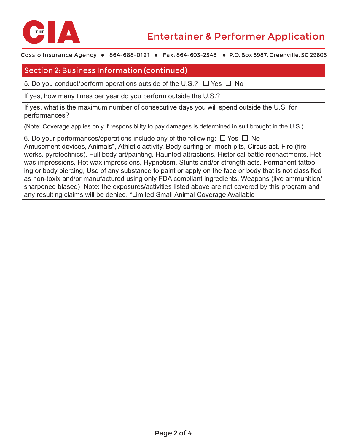

Cossio Insurance Agency • 864-688-0121 • Fax: 864-603-2348 • P.O. Box 5987, Greenville, SC 29606

## Section 2: Business Information (continued)

5. Do you conduct/perform operations outside of the U.S.?  $\Box$  Yes  $\Box$  No

If yes, how many times per year do you perform outside the U.S.?

If yes, what is the maximum number of consecutive days you will spend outside the U.S. for performances?

(Note: Coverage applies only if responsibility to pay damages is determined in suit brought in the U.S.)

6. Do your performances/operations include any of the following:  $\Box$  Yes  $\Box$  No Amusement devices, Animals\*, Athletic activity, Body surfing or mosh pits, Circus act, Fire (fireworks, pyrotechnics), Full body art/painting, Haunted attractions, Historical battle reenactments, Hot was impressions, Hot wax impressions, Hypnotism, Stunts and/or strength acts, Permanent tattooing or body piercing, Use of any substance to paint or apply on the face or body that is not classified as non-toxix and/or manufactured using only FDA compliant ingredients, Weapons (live ammunition/ sharpened blased) Note: the exposures/activities listed above are not covered by this program and any resulting claims will be denied. \*Limited Small Animal Coverage Available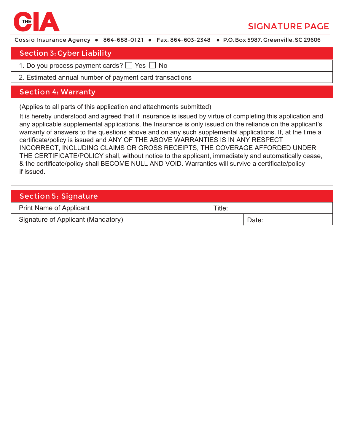

# SIGNATURE PAGE

Cossio Insurance Agency • 864-688-0121 • Fax: 864-603-2348 • P.O. Box 5987, Greenville, SC 29606

#### Section 3: Cyber Liability

- 1. Do you process payment cards? □ Yes □ No
- 2. Estimated annual number of payment card transactions

#### S ection 4: Warranty

(Applies to all parts of this application and attachments submitted)

It is hereby understood and agreed that if insurance is issued by virtue of completing this application and any applicable supplemental applications, the Insurance is only issued on the reliance on the applicant's warranty of answers to the questions above and on any such supplemental applications. If, at the time a certificate/policy is issued and ANY OF THE ABOVE WARRANTIES IS IN ANY RESPECT INCORRECT, INCLUDING CLAIMS OR GROSS RECEIPTS, THE COVERAGE AFFORDED UNDER THE CERTIFICATE/POLICY shall, without notice to the applicant, immediately and automatically cease, & the certificate/policy shall BECOME NULL AND VOID. Warranties will survive a certificate/policy if issued.

| <b>Section 5: Signature</b>        |        |       |  |  |  |
|------------------------------------|--------|-------|--|--|--|
| <b>Print Name of Applicant</b>     | Title: |       |  |  |  |
| Signature of Applicant (Mandatory) |        | Date: |  |  |  |